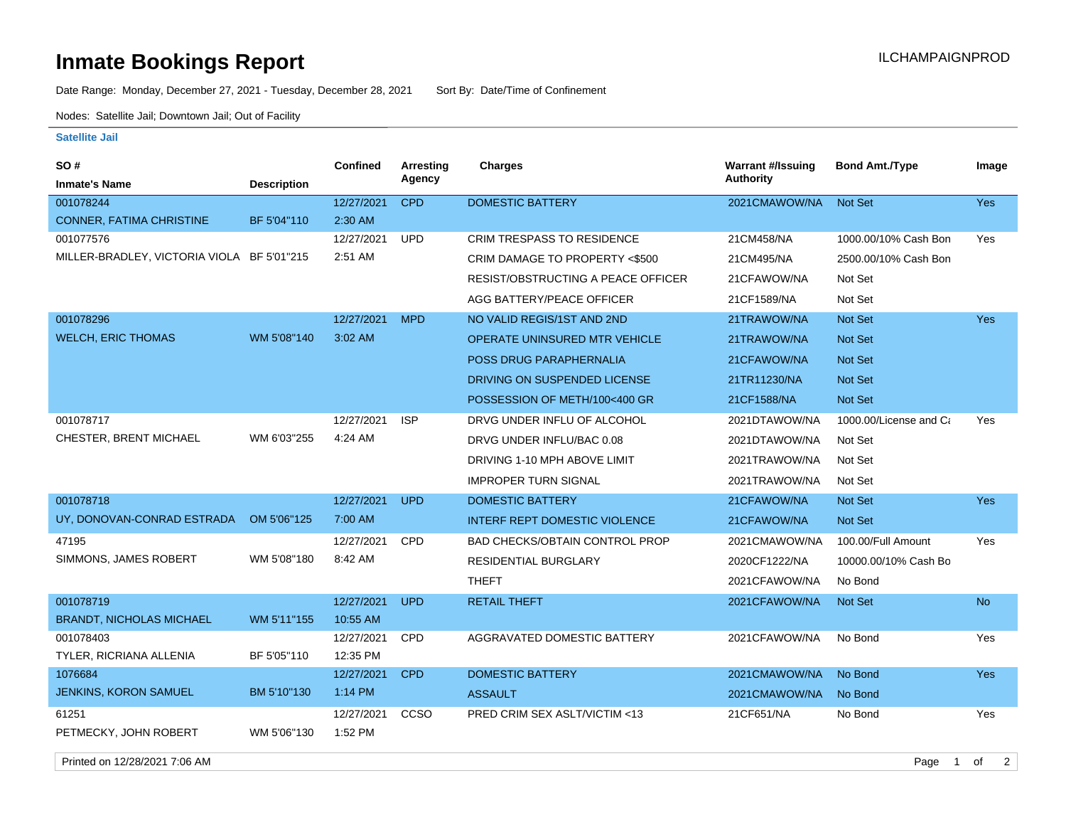## **Inmate Bookings Report Installation ILCHAMPAIGNPROD**

Date Range: Monday, December 27, 2021 - Tuesday, December 28, 2021 Sort By: Date/Time of Confinement

Nodes: Satellite Jail; Downtown Jail; Out of Facility

## **Satellite Jail**

| SO #                                       |                    | Confined   | <b>Arresting</b> | <b>Charges</b>                        | <b>Warrant #/Issuing</b> | <b>Bond Amt./Type</b>  | Image      |
|--------------------------------------------|--------------------|------------|------------------|---------------------------------------|--------------------------|------------------------|------------|
| <b>Inmate's Name</b>                       | <b>Description</b> |            | Agency           |                                       | Authority                |                        |            |
| 001078244                                  |                    | 12/27/2021 | <b>CPD</b>       | <b>DOMESTIC BATTERY</b>               | 2021CMAWOW/NA            | Not Set                | Yes        |
| CONNER, FATIMA CHRISTINE                   | BF 5'04"110        | 2:30 AM    |                  |                                       |                          |                        |            |
| 001077576                                  |                    | 12/27/2021 | <b>UPD</b>       | <b>CRIM TRESPASS TO RESIDENCE</b>     | 21CM458/NA               | 1000.00/10% Cash Bon   | Yes        |
| MILLER-BRADLEY, VICTORIA VIOLA BF 5'01"215 |                    | 2:51 AM    |                  | CRIM DAMAGE TO PROPERTY <\$500        | 21CM495/NA               | 2500.00/10% Cash Bon   |            |
|                                            |                    |            |                  | RESIST/OBSTRUCTING A PEACE OFFICER    | 21CFAWOW/NA              | Not Set                |            |
|                                            |                    |            |                  | AGG BATTERY/PEACE OFFICER             | 21CF1589/NA              | Not Set                |            |
| 001078296                                  |                    | 12/27/2021 | <b>MPD</b>       | NO VALID REGIS/1ST AND 2ND            | 21TRAWOW/NA              | Not Set                | <b>Yes</b> |
| <b>WELCH, ERIC THOMAS</b>                  | WM 5'08"140        | 3:02 AM    |                  | OPERATE UNINSURED MTR VEHICLE         | 21TRAWOW/NA              | <b>Not Set</b>         |            |
|                                            |                    |            |                  | POSS DRUG PARAPHERNALIA               | 21CFAWOW/NA              | Not Set                |            |
|                                            |                    |            |                  | DRIVING ON SUSPENDED LICENSE          | 21TR11230/NA             | Not Set                |            |
|                                            |                    |            |                  | POSSESSION OF METH/100<400 GR         | 21CF1588/NA              | Not Set                |            |
| 001078717                                  |                    | 12/27/2021 | <b>ISP</b>       | DRVG UNDER INFLU OF ALCOHOL           | 2021DTAWOW/NA            | 1000.00/License and Ca | Yes        |
| CHESTER, BRENT MICHAEL                     | WM 6'03"255        | 4:24 AM    |                  | DRVG UNDER INFLU/BAC 0.08             | 2021DTAWOW/NA            | Not Set                |            |
|                                            |                    |            |                  | DRIVING 1-10 MPH ABOVE LIMIT          | 2021TRAWOW/NA            | Not Set                |            |
|                                            |                    |            |                  | <b>IMPROPER TURN SIGNAL</b>           | 2021TRAWOW/NA            | Not Set                |            |
| 001078718                                  |                    | 12/27/2021 | <b>UPD</b>       | <b>DOMESTIC BATTERY</b>               | 21CFAWOW/NA              | Not Set                | Yes        |
| UY, DONOVAN-CONRAD ESTRADA                 | OM 5'06"125        | 7:00 AM    |                  | <b>INTERF REPT DOMESTIC VIOLENCE</b>  | 21CFAWOW/NA              | <b>Not Set</b>         |            |
| 47195                                      |                    | 12/27/2021 | <b>CPD</b>       | <b>BAD CHECKS/OBTAIN CONTROL PROP</b> | 2021CMAWOW/NA            | 100.00/Full Amount     | Yes        |
| SIMMONS, JAMES ROBERT                      | WM 5'08"180        | 8:42 AM    |                  | RESIDENTIAL BURGLARY                  | 2020CF1222/NA            | 10000.00/10% Cash Bo   |            |
|                                            |                    |            |                  | <b>THEFT</b>                          | 2021CFAWOW/NA            | No Bond                |            |
| 001078719                                  |                    | 12/27/2021 | <b>UPD</b>       | <b>RETAIL THEFT</b>                   | 2021CFAWOW/NA            | Not Set                | <b>No</b>  |
| <b>BRANDT, NICHOLAS MICHAEL</b>            | WM 5'11"155        | 10:55 AM   |                  |                                       |                          |                        |            |
| 001078403                                  |                    | 12/27/2021 | CPD              | AGGRAVATED DOMESTIC BATTERY           | 2021CFAWOW/NA            | No Bond                | Yes        |
| TYLER, RICRIANA ALLENIA                    | BF 5'05"110        | 12:35 PM   |                  |                                       |                          |                        |            |
| 1076684                                    |                    | 12/27/2021 | <b>CPD</b>       | <b>DOMESTIC BATTERY</b>               | 2021CMAWOW/NA            | No Bond                | <b>Yes</b> |
| <b>JENKINS, KORON SAMUEL</b>               | BM 5'10"130        | 1:14 PM    |                  | <b>ASSAULT</b>                        | 2021CMAWOW/NA            | No Bond                |            |
| 61251                                      |                    | 12/27/2021 | CCSO             | PRED CRIM SEX ASLT/VICTIM <13         | 21CF651/NA               | No Bond                | Yes        |
| PETMECKY, JOHN ROBERT                      | WM 5'06"130        | 1:52 PM    |                  |                                       |                          |                        |            |

Printed on 12/28/2021 7:06 AM Page 1 of 2